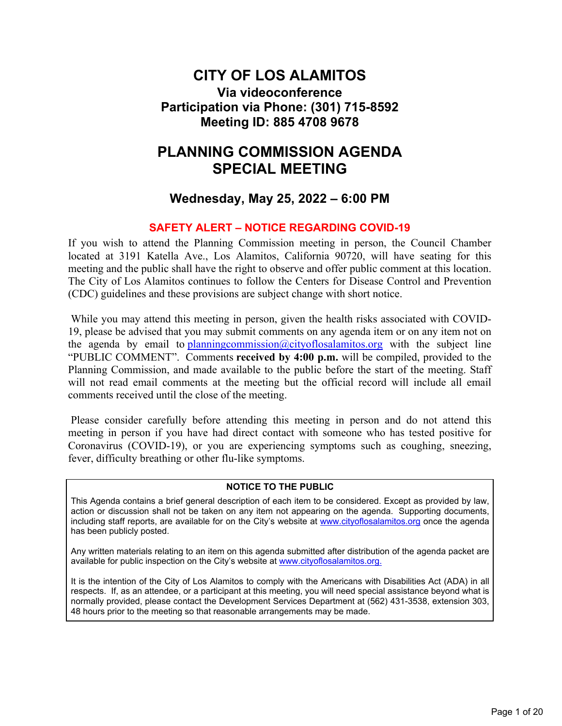### **CITY OF LOS ALAMITOS Via videoconference Participation via Phone: (301) 715-8592 Meeting ID: 885 4708 9678**

## **PLANNING COMMISSION AGENDA SPECIAL MEETING**

#### **Wednesday, May 25, 2022 – 6:00 PM**

#### **SAFETY ALERT – NOTICE REGARDING COVID-19**

If you wish to attend the Planning Commission meeting in person, the Council Chamber located at 3191 Katella Ave., Los Alamitos, California 90720, will have seating for this meeting and the public shall have the right to observe and offer public comment at this location. The City of Los Alamitos continues to follow the Centers for Disease Control and Prevention (CDC) guidelines and these provisions are subject change with short notice.

 While you may attend this meeting in person, given the health risks associated with COVID-19, please be advised that you may submit comments on any agenda item or on any item not on the agenda by email to planning commission  $@city$  of losalamitos.org with the subject line "PUBLIC COMMENT". Comments **received by 4:00 p.m.** will be compiled, provided to the Planning Commission, and made available to the public before the start of the meeting. Staff will not read email comments at the meeting but the official record will include all email comments received until the close of the meeting.

 Please consider carefully before attending this meeting in person and do not attend this meeting in person if you have had direct contact with someone who has tested positive for Coronavirus (COVID-19), or you are experiencing symptoms such as coughing, sneezing, fever, difficulty breathing or other flu-like symptoms.

#### **NOTICE TO THE PUBLIC**

This Agenda contains a brief general description of each item to be considered. Except as provided by law, action or discussion shall not be taken on any item not appearing on the agenda. Supporting documents, including staff reports, are available for on the City's website at [www.cityoflosalamitos.org](https://www.cityoflosalamitos.org/) once the agenda has been publicly posted.

Any written materials relating to an item on this agenda submitted after distribution of the agenda packet are available for public inspection on the City's website at [www.cityoflosalamitos.org.](https://www.cityoflosalamitos.org/)

It is the intention of the City of Los Alamitos to comply with the Americans with Disabilities Act (ADA) in all respects. If, as an attendee, or a participant at this meeting, you will need special assistance beyond what is normally provided, please contact the Development Services Department at (562) 431-3538, extension 303, 48 hours prior to the meeting so that reasonable arrangements may be made.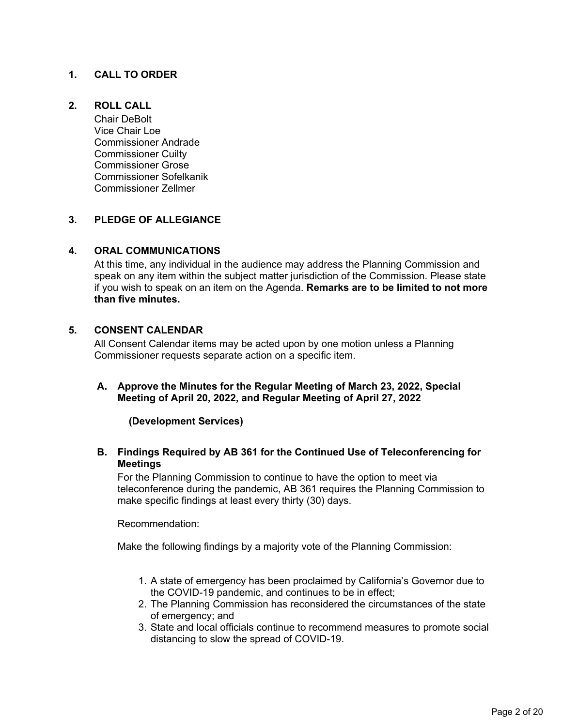#### **1. CALL TO ORDER**

#### **2. ROLL CALL**

Chair DeBolt Vice Chair Loe Commissioner Andrade Commissioner Cuilty Commissioner Grose Commissioner Sofelkanik Commissioner Zellmer

#### **3. PLEDGE OF ALLEGIANCE**

#### **4. ORAL COMMUNICATIONS**

At this time, any individual in the audience may address the Planning Commission and speak on any item within the subject matter jurisdiction of the Commission. Please state if you wish to speak on an item on the Agenda. **Remarks are to be limited to not more than five minutes.**

#### **5. CONSENT CALENDAR**

All Consent Calendar items may be acted upon by one motion unless a Planning Commissioner requests separate action on a specific item.

**A. Approve the Minutes for the Regular Meeting of March 23, 2022, Special Meeting of April 20, 2022, and Regular Meeting of April 27, 2022**

 **(Development Services)**

**B. Findings Required by AB 361 for the Continued Use of Teleconferencing for Meetings**

For the Planning Commission to continue to have the option to meet via teleconference during the pandemic, AB 361 requires the Planning Commission to make specific findings at least every thirty (30) days.

Recommendation:

Make the following findings by a majority vote of the Planning Commission:

- 1. A state of emergency has been proclaimed by California's Governor due to the COVID-19 pandemic, and continues to be in effect;
- 2. The Planning Commission has reconsidered the circumstances of the state of emergency; and
- 3. State and local officials continue to recommend measures to promote social distancing to slow the spread of COVID-19.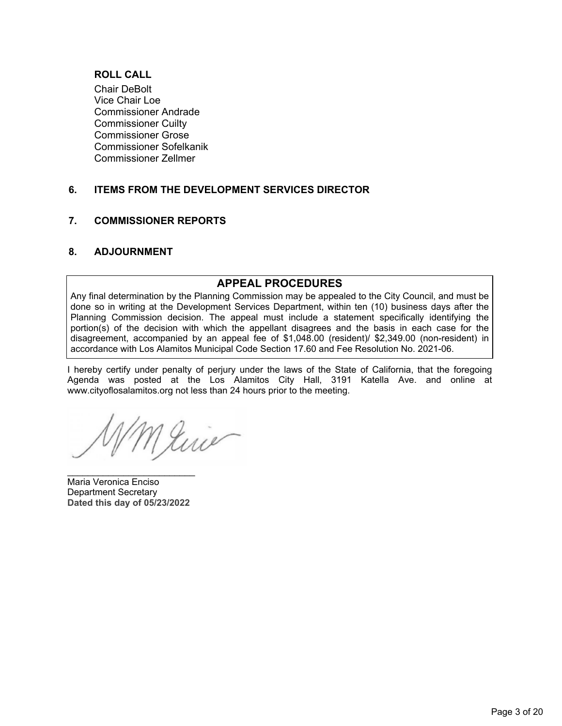#### **ROLL CALL**

Chair DeBolt Vice Chair Loe Commissioner Andrade Commissioner Cuilty Commissioner Grose Commissioner Sofelkanik Commissioner Zellmer

#### **6. ITEMS FROM THE DEVELOPMENT SERVICES DIRECTOR**

#### **7. COMMISSIONER REPORTS**

#### **8. ADJOURNMENT**

#### **APPEAL PROCEDURES**

Any final determination by the Planning Commission may be appealed to the City Council, and must be done so in writing at the Development Services Department, within ten (10) business days after the Planning Commission decision. The appeal must include a statement specifically identifying the portion(s) of the decision with which the appellant disagrees and the basis in each case for the disagreement, accompanied by an appeal fee of \$1,048.00 (resident)/ \$2,349.00 (non-resident) in accordance with Los Alamitos Municipal Code Section 17.60 and Fee Resolution No. 2021-06.

I hereby certify under penalty of perjury under the laws of the State of California, that the foregoing Agenda was posted at the Los Alamitos City Hall, 3191 Katella Ave. and online at www.cityoflosalamitos.org not less than 24 hours prior to the meeting.

Juis

Maria Veronica Enciso Department Secretary **Dated this day of 05/23/2022**

\_\_\_\_\_\_\_\_\_\_\_\_\_\_\_\_\_\_\_\_\_\_\_\_\_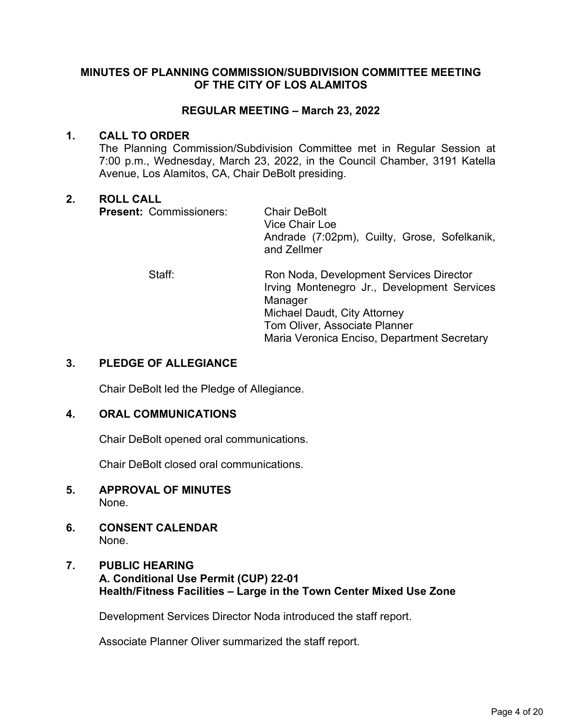#### **MINUTES OF PLANNING COMMISSION/SUBDIVISION COMMITTEE MEETING OF THE CITY OF LOS ALAMITOS**

#### **REGULAR MEETING – March 23, 2022**

#### **1. CALL TO ORDER**

The Planning Commission/Subdivision Committee met in Regular Session at 7:00 p.m., Wednesday, March 23, 2022, in the Council Chamber, 3191 Katella Avenue, Los Alamitos, CA, Chair DeBolt presiding.

#### **2. ROLL CALL**

**Present: Commissioners: Chair DeBolt** 

Vice Chair Loe Andrade (7:02pm), Cuilty, Grose, Sofelkanik, and Zellmer

 Staff: Ron Noda, Development Services Director Irving Montenegro Jr., Development Services Manager Michael Daudt, City Attorney Tom Oliver, Associate Planner Maria Veronica Enciso, Department Secretary

#### **3. PLEDGE OF ALLEGIANCE**

Chair DeBolt led the Pledge of Allegiance.

#### **4. ORAL COMMUNICATIONS**

Chair DeBolt opened oral communications.

Chair DeBolt closed oral communications.

- **5. APPROVAL OF MINUTES**  None.
- **6. CONSENT CALENDAR** None.
- **7. PUBLIC HEARING A. Conditional Use Permit (CUP) 22-01 Health/Fitness Facilities – Large in the Town Center Mixed Use Zone**

Development Services Director Noda introduced the staff report.

Associate Planner Oliver summarized the staff report.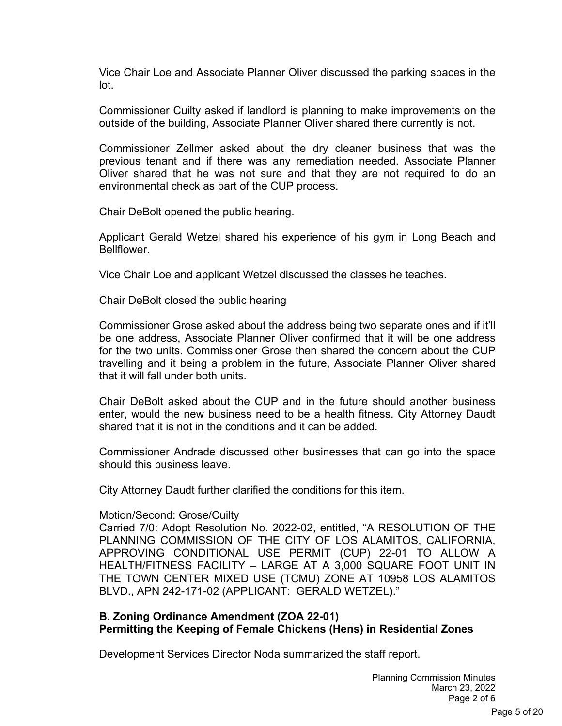Vice Chair Loe and Associate Planner Oliver discussed the parking spaces in the lot.

Commissioner Cuilty asked if landlord is planning to make improvements on the outside of the building, Associate Planner Oliver shared there currently is not.

Commissioner Zellmer asked about the dry cleaner business that was the previous tenant and if there was any remediation needed. Associate Planner Oliver shared that he was not sure and that they are not required to do an environmental check as part of the CUP process.

Chair DeBolt opened the public hearing.

Applicant Gerald Wetzel shared his experience of his gym in Long Beach and Bellflower.

Vice Chair Loe and applicant Wetzel discussed the classes he teaches.

Chair DeBolt closed the public hearing

Commissioner Grose asked about the address being two separate ones and if it'll be one address, Associate Planner Oliver confirmed that it will be one address for the two units. Commissioner Grose then shared the concern about the CUP travelling and it being a problem in the future, Associate Planner Oliver shared that it will fall under both units.

Chair DeBolt asked about the CUP and in the future should another business enter, would the new business need to be a health fitness. City Attorney Daudt shared that it is not in the conditions and it can be added.

Commissioner Andrade discussed other businesses that can go into the space should this business leave.

City Attorney Daudt further clarified the conditions for this item.

#### Motion/Second: Grose/Cuilty

Carried 7/0: Adopt Resolution No. 2022-02, entitled, "A RESOLUTION OF THE PLANNING COMMISSION OF THE CITY OF LOS ALAMITOS, CALIFORNIA, APPROVING CONDITIONAL USE PERMIT (CUP) 22-01 TO ALLOW A HEALTH/FITNESS FACILITY – LARGE AT A 3,000 SQUARE FOOT UNIT IN THE TOWN CENTER MIXED USE (TCMU) ZONE AT 10958 LOS ALAMITOS BLVD., APN 242-171-02 (APPLICANT: GERALD WETZEL)."

#### **B. Zoning Ordinance Amendment (ZOA 22-01) Permitting the Keeping of Female Chickens (Hens) in Residential Zones**

Development Services Director Noda summarized the staff report.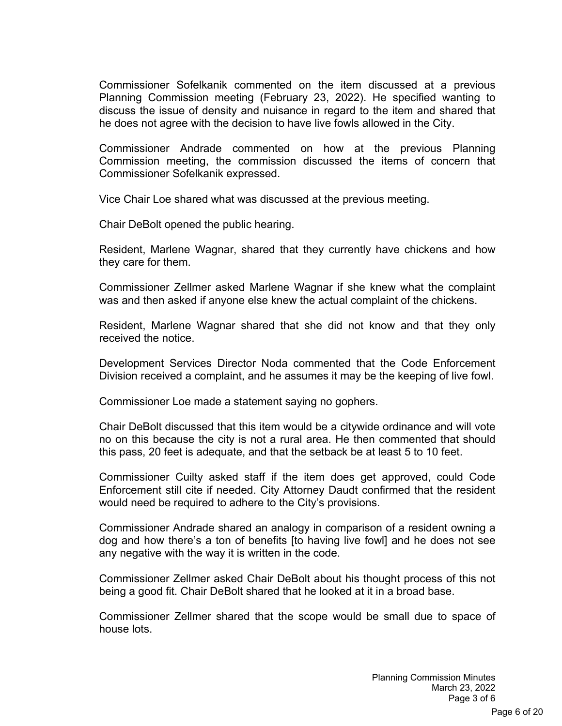Commissioner Sofelkanik commented on the item discussed at a previous Planning Commission meeting (February 23, 2022). He specified wanting to discuss the issue of density and nuisance in regard to the item and shared that he does not agree with the decision to have live fowls allowed in the City.

Commissioner Andrade commented on how at the previous Planning Commission meeting, the commission discussed the items of concern that Commissioner Sofelkanik expressed.

Vice Chair Loe shared what was discussed at the previous meeting.

Chair DeBolt opened the public hearing.

Resident, Marlene Wagnar, shared that they currently have chickens and how they care for them.

Commissioner Zellmer asked Marlene Wagnar if she knew what the complaint was and then asked if anyone else knew the actual complaint of the chickens.

Resident, Marlene Wagnar shared that she did not know and that they only received the notice.

Development Services Director Noda commented that the Code Enforcement Division received a complaint, and he assumes it may be the keeping of live fowl.

Commissioner Loe made a statement saying no gophers.

Chair DeBolt discussed that this item would be a citywide ordinance and will vote no on this because the city is not a rural area. He then commented that should this pass, 20 feet is adequate, and that the setback be at least 5 to 10 feet.

Commissioner Cuilty asked staff if the item does get approved, could Code Enforcement still cite if needed. City Attorney Daudt confirmed that the resident would need be required to adhere to the City's provisions.

Commissioner Andrade shared an analogy in comparison of a resident owning a dog and how there's a ton of benefits [to having live fowl] and he does not see any negative with the way it is written in the code.

Commissioner Zellmer asked Chair DeBolt about his thought process of this not being a good fit. Chair DeBolt shared that he looked at it in a broad base.

Commissioner Zellmer shared that the scope would be small due to space of house lots.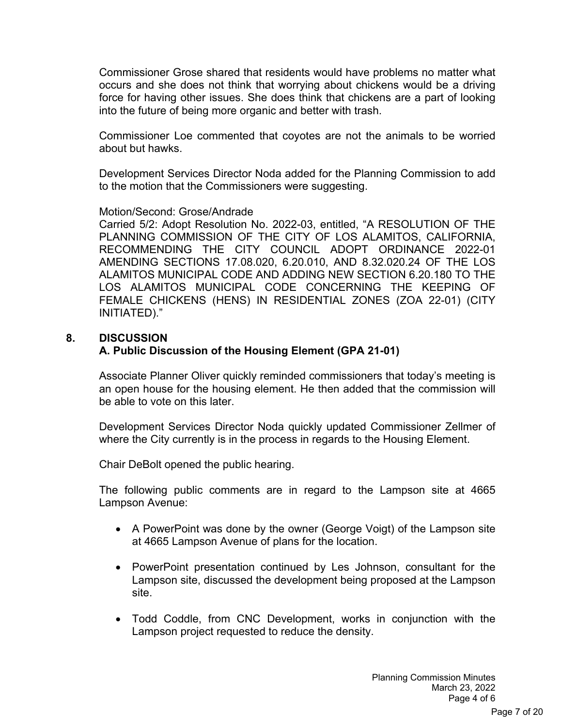Commissioner Grose shared that residents would have problems no matter what occurs and she does not think that worrying about chickens would be a driving force for having other issues. She does think that chickens are a part of looking into the future of being more organic and better with trash.

Commissioner Loe commented that coyotes are not the animals to be worried about but hawks.

Development Services Director Noda added for the Planning Commission to add to the motion that the Commissioners were suggesting.

#### Motion/Second: Grose/Andrade

Carried 5/2: Adopt Resolution No. 2022-03, entitled, "A RESOLUTION OF THE PLANNING COMMISSION OF THE CITY OF LOS ALAMITOS, CALIFORNIA, RECOMMENDING THE CITY COUNCIL ADOPT ORDINANCE 2022-01 AMENDING SECTIONS 17.08.020, 6.20.010, AND 8.32.020.24 OF THE LOS ALAMITOS MUNICIPAL CODE AND ADDING NEW SECTION 6.20.180 TO THE LOS ALAMITOS MUNICIPAL CODE CONCERNING THE KEEPING OF FEMALE CHICKENS (HENS) IN RESIDENTIAL ZONES (ZOA 22-01) (CITY INITIATED)."

#### **8. DISCUSSION A. Public Discussion of the Housing Element (GPA 21-01)**

Associate Planner Oliver quickly reminded commissioners that today's meeting is an open house for the housing element. He then added that the commission will be able to vote on this later.

Development Services Director Noda quickly updated Commissioner Zellmer of where the City currently is in the process in regards to the Housing Element.

Chair DeBolt opened the public hearing.

The following public comments are in regard to the Lampson site at 4665 Lampson Avenue:

- A PowerPoint was done by the owner (George Voigt) of the Lampson site at 4665 Lampson Avenue of plans for the location.
- PowerPoint presentation continued by Les Johnson, consultant for the Lampson site, discussed the development being proposed at the Lampson site.
- Todd Coddle, from CNC Development, works in conjunction with the Lampson project requested to reduce the density.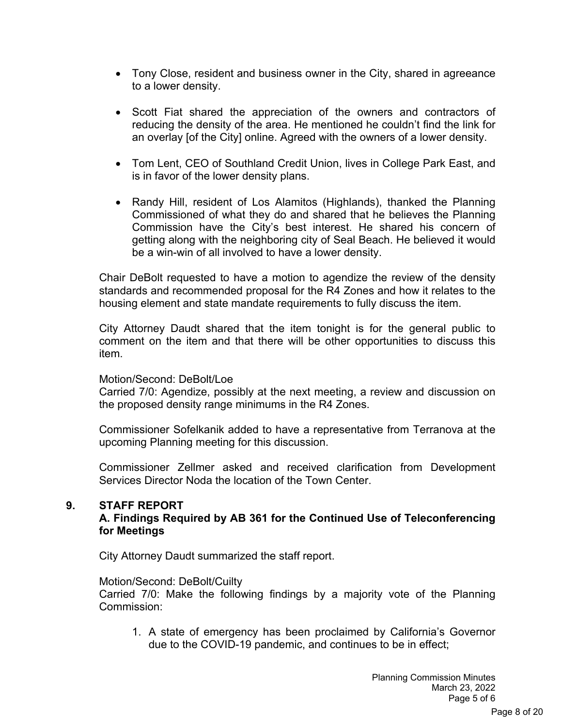- Tony Close, resident and business owner in the City, shared in agreeance to a lower density.
- Scott Fiat shared the appreciation of the owners and contractors of reducing the density of the area. He mentioned he couldn't find the link for an overlay [of the City] online. Agreed with the owners of a lower density.
- Tom Lent, CEO of Southland Credit Union, lives in College Park East, and is in favor of the lower density plans.
- Randy Hill, resident of Los Alamitos (Highlands), thanked the Planning Commissioned of what they do and shared that he believes the Planning Commission have the City's best interest. He shared his concern of getting along with the neighboring city of Seal Beach. He believed it would be a win-win of all involved to have a lower density.

Chair DeBolt requested to have a motion to agendize the review of the density standards and recommended proposal for the R4 Zones and how it relates to the housing element and state mandate requirements to fully discuss the item.

City Attorney Daudt shared that the item tonight is for the general public to comment on the item and that there will be other opportunities to discuss this item.

#### Motion/Second: DeBolt/Loe

Carried 7/0: Agendize, possibly at the next meeting, a review and discussion on the proposed density range minimums in the R4 Zones.

Commissioner Sofelkanik added to have a representative from Terranova at the upcoming Planning meeting for this discussion.

Commissioner Zellmer asked and received clarification from Development Services Director Noda the location of the Town Center.

#### **9. STAFF REPORT**

#### **A. Findings Required by AB 361 for the Continued Use of Teleconferencing for Meetings**

City Attorney Daudt summarized the staff report.

#### Motion/Second: DeBolt/Cuilty

Carried 7/0: Make the following findings by a majority vote of the Planning Commission:

1. A state of emergency has been proclaimed by California's Governor due to the COVID-19 pandemic, and continues to be in effect;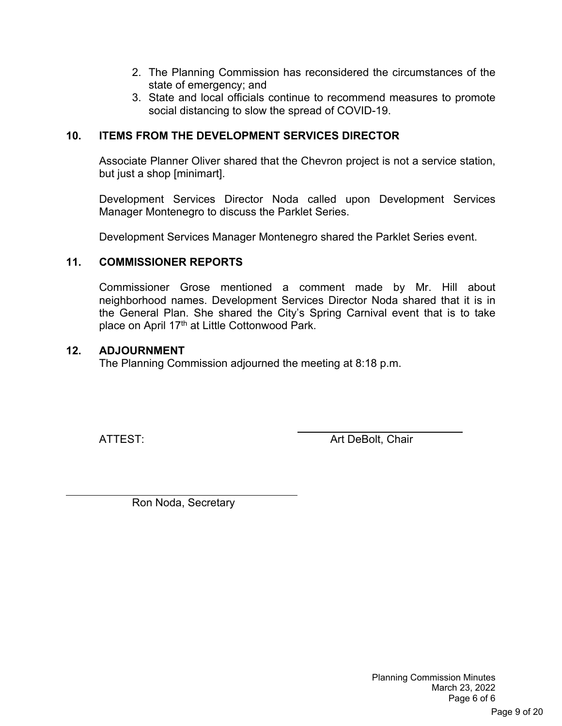- 2. The Planning Commission has reconsidered the circumstances of the state of emergency; and
- 3. State and local officials continue to recommend measures to promote social distancing to slow the spread of COVID-19.

#### **10. ITEMS FROM THE DEVELOPMENT SERVICES DIRECTOR**

Associate Planner Oliver shared that the Chevron project is not a service station, but just a shop [minimart].

Development Services Director Noda called upon Development Services Manager Montenegro to discuss the Parklet Series.

Development Services Manager Montenegro shared the Parklet Series event.

#### **11. COMMISSIONER REPORTS**

Commissioner Grose mentioned a comment made by Mr. Hill about neighborhood names. Development Services Director Noda shared that it is in the General Plan. She shared the City's Spring Carnival event that is to take place on April 17<sup>th</sup> at Little Cottonwood Park.

#### **12. ADJOURNMENT**

The Planning Commission adjourned the meeting at 8:18 p.m.

 $\overline{a}$ 

ATTEST: And Art DeBolt, Chair

Ron Noda, Secretary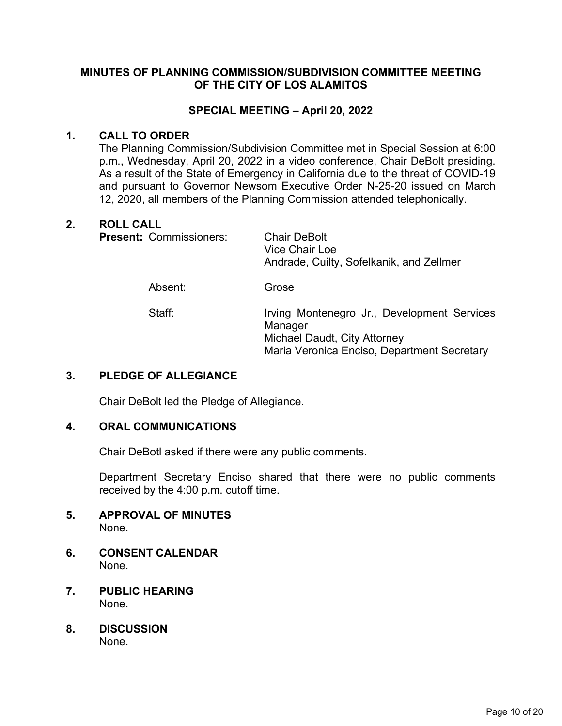#### **MINUTES OF PLANNING COMMISSION/SUBDIVISION COMMITTEE MEETING OF THE CITY OF LOS ALAMITOS**

#### **SPECIAL MEETING – April 20, 2022**

#### **1. CALL TO ORDER**

The Planning Commission/Subdivision Committee met in Special Session at 6:00 p.m., Wednesday, April 20, 2022 in a video conference, Chair DeBolt presiding. As a result of the State of Emergency in California due to the threat of COVID-19 and pursuant to Governor Newsom Executive Order N-25-20 issued on March 12, 2020, all members of the Planning Commission attended telephonically.

#### **2. ROLL CALL**

| <b>Present: Commissioners:</b> | <b>Chair DeBolt</b><br>Vice Chair Loe<br>Andrade, Cuilty, Sofelkanik, and Zellmer                                                     |
|--------------------------------|---------------------------------------------------------------------------------------------------------------------------------------|
| Absent:                        | Grose                                                                                                                                 |
| Staff:                         | Irving Montenegro Jr., Development Services<br>Manager<br>Michael Daudt, City Attorney<br>Maria Veronica Enciso, Department Secretary |

#### **3. PLEDGE OF ALLEGIANCE**

Chair DeBolt led the Pledge of Allegiance.

#### **4. ORAL COMMUNICATIONS**

Chair DeBotl asked if there were any public comments.

Department Secretary Enciso shared that there were no public comments received by the 4:00 p.m. cutoff time.

#### **5. APPROVAL OF MINUTES**  None.

- **6. CONSENT CALENDAR** None.
- **7. PUBLIC HEARING**  None.
- **8. DISCUSSION** None.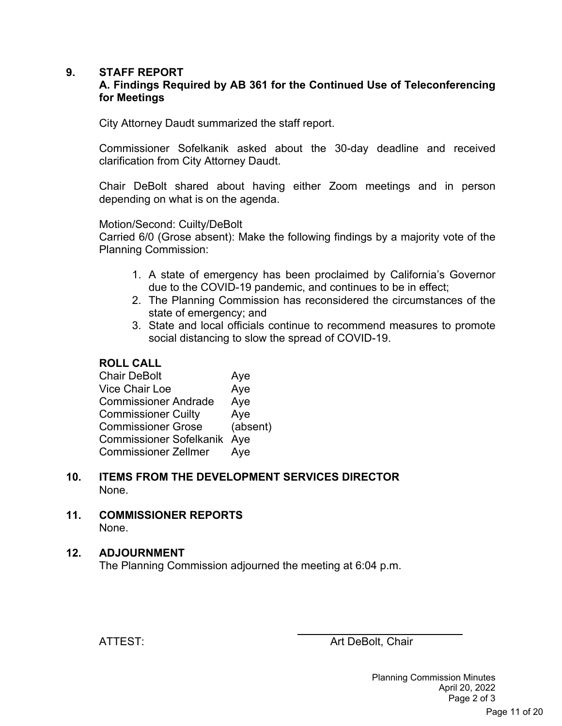#### **9. STAFF REPORT**

#### **A. Findings Required by AB 361 for the Continued Use of Teleconferencing for Meetings**

City Attorney Daudt summarized the staff report.

Commissioner Sofelkanik asked about the 30-day deadline and received clarification from City Attorney Daudt.

Chair DeBolt shared about having either Zoom meetings and in person depending on what is on the agenda.

#### Motion/Second: Cuilty/DeBolt

Carried 6/0 (Grose absent): Make the following findings by a majority vote of the Planning Commission:

- 1. A state of emergency has been proclaimed by California's Governor due to the COVID-19 pandemic, and continues to be in effect;
- 2. The Planning Commission has reconsidered the circumstances of the state of emergency; and
- 3. State and local officials continue to recommend measures to promote social distancing to slow the spread of COVID-19.

#### **ROLL CALL**

| <b>Chair DeBolt</b>         | Aye      |
|-----------------------------|----------|
| <b>Vice Chair Loe</b>       | Aye      |
| <b>Commissioner Andrade</b> | Aye      |
| <b>Commissioner Cuilty</b>  | Aye      |
| <b>Commissioner Grose</b>   | (absent) |
| Commissioner Sofelkanik Aye |          |
| <b>Commissioner Zellmer</b> | Aye      |

- **10. ITEMS FROM THE DEVELOPMENT SERVICES DIRECTOR** None.
- **11. COMMISSIONER REPORTS**  None.

#### **12. ADJOURNMENT**

The Planning Commission adjourned the meeting at 6:04 p.m.

ATTEST: And Art DeBolt, Chair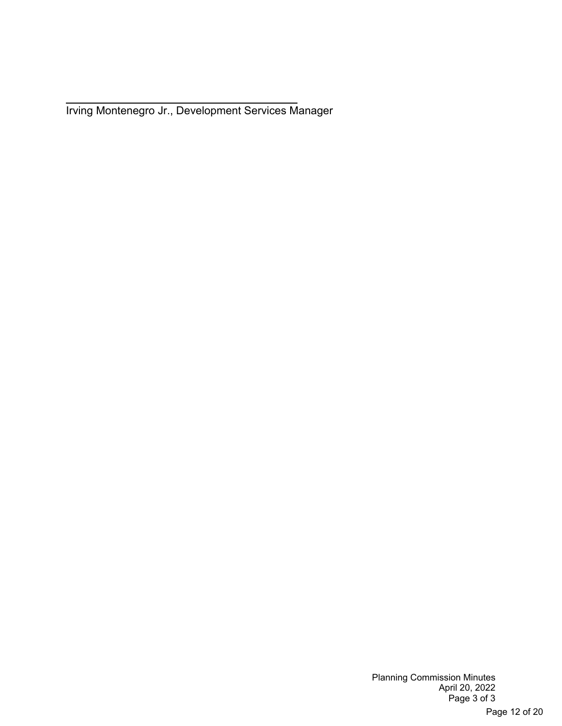$\overline{a}$ Irving Montenegro Jr., Development Services Manager

> Planning Commission Minutes April 20, 2022 Page 3 of 3 Page 12 of 20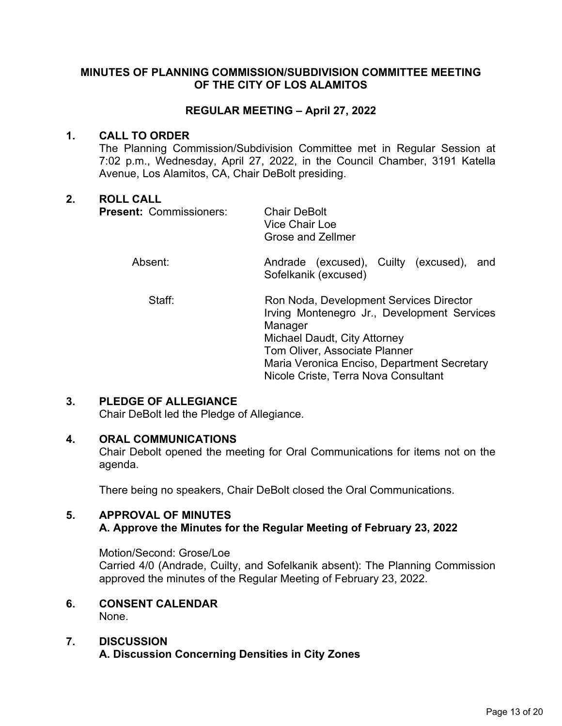#### **MINUTES OF PLANNING COMMISSION/SUBDIVISION COMMITTEE MEETING OF THE CITY OF LOS ALAMITOS**

#### **REGULAR MEETING – April 27, 2022**

#### **1. CALL TO ORDER**

The Planning Commission/Subdivision Committee met in Regular Session at 7:02 p.m., Wednesday, April 27, 2022, in the Council Chamber, 3191 Katella Avenue, Los Alamitos, CA, Chair DeBolt presiding.

#### **2. ROLL CALL**

| <b>Present: Commissioners:</b> | <b>Chair DeBolt</b><br>Vice Chair Loe<br><b>Grose and Zellmer</b>                                                                                                                                                                                         |
|--------------------------------|-----------------------------------------------------------------------------------------------------------------------------------------------------------------------------------------------------------------------------------------------------------|
| Absent:                        | Andrade (excused), Cuilty (excused),<br>and<br>Sofelkanik (excused)                                                                                                                                                                                       |
| Staff:                         | Ron Noda, Development Services Director<br>Irving Montenegro Jr., Development Services<br>Manager<br>Michael Daudt, City Attorney<br>Tom Oliver, Associate Planner<br>Maria Veronica Enciso, Department Secretary<br>Nicole Criste, Terra Nova Consultant |

#### **3. PLEDGE OF ALLEGIANCE**

Chair DeBolt led the Pledge of Allegiance.

#### **4. ORAL COMMUNICATIONS**

Chair Debolt opened the meeting for Oral Communications for items not on the agenda.

There being no speakers, Chair DeBolt closed the Oral Communications.

#### **5. APPROVAL OF MINUTES**

#### **A. Approve the Minutes for the Regular Meeting of February 23, 2022**

Motion/Second: Grose/Loe Carried 4/0 (Andrade, Cuilty, and Sofelkanik absent): The Planning Commission approved the minutes of the Regular Meeting of February 23, 2022.

#### **6. CONSENT CALENDAR** None.

#### **7. DISCUSSION A. Discussion Concerning Densities in City Zones**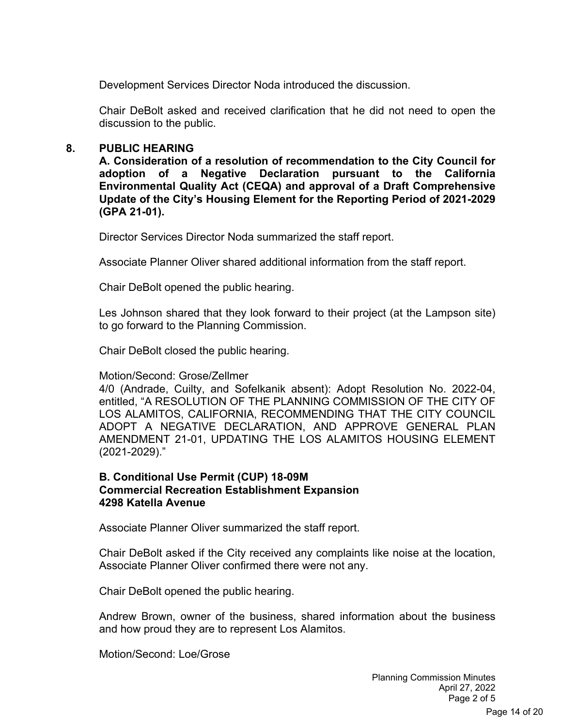Development Services Director Noda introduced the discussion.

Chair DeBolt asked and received clarification that he did not need to open the discussion to the public.

#### **8. PUBLIC HEARING**

**A. Consideration of a resolution of recommendation to the City Council for adoption of a Negative Declaration pursuant to the California Environmental Quality Act (CEQA) and approval of a Draft Comprehensive Update of the City's Housing Element for the Reporting Period of 2021-2029 (GPA 21-01).**

Director Services Director Noda summarized the staff report.

Associate Planner Oliver shared additional information from the staff report.

Chair DeBolt opened the public hearing.

Les Johnson shared that they look forward to their project (at the Lampson site) to go forward to the Planning Commission.

Chair DeBolt closed the public hearing.

Motion/Second: Grose/Zellmer

4/0 (Andrade, Cuilty, and Sofelkanik absent): Adopt Resolution No. 2022-04, entitled, "A RESOLUTION OF THE PLANNING COMMISSION OF THE CITY OF LOS ALAMITOS, CALIFORNIA, RECOMMENDING THAT THE CITY COUNCIL ADOPT A NEGATIVE DECLARATION, AND APPROVE GENERAL PLAN AMENDMENT 21-01, UPDATING THE LOS ALAMITOS HOUSING ELEMENT (2021-2029)."

#### **B. Conditional Use Permit (CUP) 18-09M Commercial Recreation Establishment Expansion 4298 Katella Avenue**

Associate Planner Oliver summarized the staff report.

Chair DeBolt asked if the City received any complaints like noise at the location, Associate Planner Oliver confirmed there were not any.

Chair DeBolt opened the public hearing.

Andrew Brown, owner of the business, shared information about the business and how proud they are to represent Los Alamitos.

Motion/Second: Loe/Grose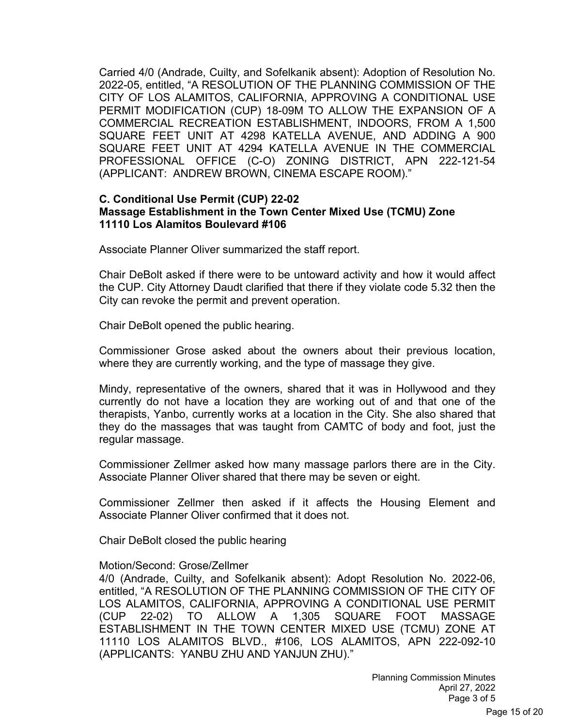Carried 4/0 (Andrade, Cuilty, and Sofelkanik absent): Adoption of Resolution No. 2022-05, entitled, "A RESOLUTION OF THE PLANNING COMMISSION OF THE CITY OF LOS ALAMITOS, CALIFORNIA, APPROVING A CONDITIONAL USE PERMIT MODIFICATION (CUP) 18-09M TO ALLOW THE EXPANSION OF A COMMERCIAL RECREATION ESTABLISHMENT, INDOORS, FROM A 1,500 SQUARE FEET UNIT AT 4298 KATELLA AVENUE, AND ADDING A 900 SQUARE FEET UNIT AT 4294 KATELLA AVENUE IN THE COMMERCIAL PROFESSIONAL OFFICE (C-O) ZONING DISTRICT, APN 222-121-54 (APPLICANT: ANDREW BROWN, CINEMA ESCAPE ROOM)."

#### **C. Conditional Use Permit (CUP) 22-02 Massage Establishment in the Town Center Mixed Use (TCMU) Zone 11110 Los Alamitos Boulevard #106**

Associate Planner Oliver summarized the staff report.

Chair DeBolt asked if there were to be untoward activity and how it would affect the CUP. City Attorney Daudt clarified that there if they violate code 5.32 then the City can revoke the permit and prevent operation.

Chair DeBolt opened the public hearing.

Commissioner Grose asked about the owners about their previous location, where they are currently working, and the type of massage they give.

Mindy, representative of the owners, shared that it was in Hollywood and they currently do not have a location they are working out of and that one of the therapists, Yanbo, currently works at a location in the City. She also shared that they do the massages that was taught from CAMTC of body and foot, just the regular massage.

Commissioner Zellmer asked how many massage parlors there are in the City. Associate Planner Oliver shared that there may be seven or eight.

Commissioner Zellmer then asked if it affects the Housing Element and Associate Planner Oliver confirmed that it does not.

Chair DeBolt closed the public hearing

#### Motion/Second: Grose/Zellmer

4/0 (Andrade, Cuilty, and Sofelkanik absent): Adopt Resolution No. 2022-06, entitled, "A RESOLUTION OF THE PLANNING COMMISSION OF THE CITY OF LOS ALAMITOS, CALIFORNIA, APPROVING A CONDITIONAL USE PERMIT (CUP 22-02) TO ALLOW A 1,305 SQUARE FOOT MASSAGE ESTABLISHMENT IN THE TOWN CENTER MIXED USE (TCMU) ZONE AT 11110 LOS ALAMITOS BLVD., #106, LOS ALAMITOS, APN 222-092-10 (APPLICANTS: YANBU ZHU AND YANJUN ZHU)."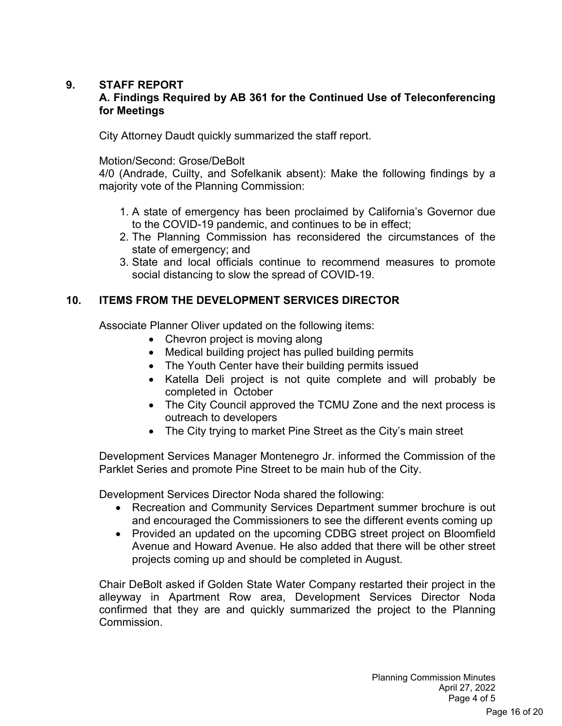#### **9. STAFF REPORT**

#### **A. Findings Required by AB 361 for the Continued Use of Teleconferencing for Meetings**

City Attorney Daudt quickly summarized the staff report.

#### Motion/Second: Grose/DeBolt

4/0 (Andrade, Cuilty, and Sofelkanik absent): Make the following findings by a majority vote of the Planning Commission:

- 1. A state of emergency has been proclaimed by California's Governor due to the COVID-19 pandemic, and continues to be in effect;
- 2. The Planning Commission has reconsidered the circumstances of the state of emergency; and
- 3. State and local officials continue to recommend measures to promote social distancing to slow the spread of COVID-19.

#### **10. ITEMS FROM THE DEVELOPMENT SERVICES DIRECTOR**

Associate Planner Oliver updated on the following items:

- Chevron project is moving along
- Medical building project has pulled building permits
- The Youth Center have their building permits issued
- Katella Deli project is not quite complete and will probably be completed in October
- The City Council approved the TCMU Zone and the next process is outreach to developers
- The City trying to market Pine Street as the City's main street

Development Services Manager Montenegro Jr. informed the Commission of the Parklet Series and promote Pine Street to be main hub of the City.

Development Services Director Noda shared the following:

- Recreation and Community Services Department summer brochure is out and encouraged the Commissioners to see the different events coming up
- Provided an updated on the upcoming CDBG street project on Bloomfield Avenue and Howard Avenue. He also added that there will be other street projects coming up and should be completed in August.

Chair DeBolt asked if Golden State Water Company restarted their project in the alleyway in Apartment Row area, Development Services Director Noda confirmed that they are and quickly summarized the project to the Planning Commission.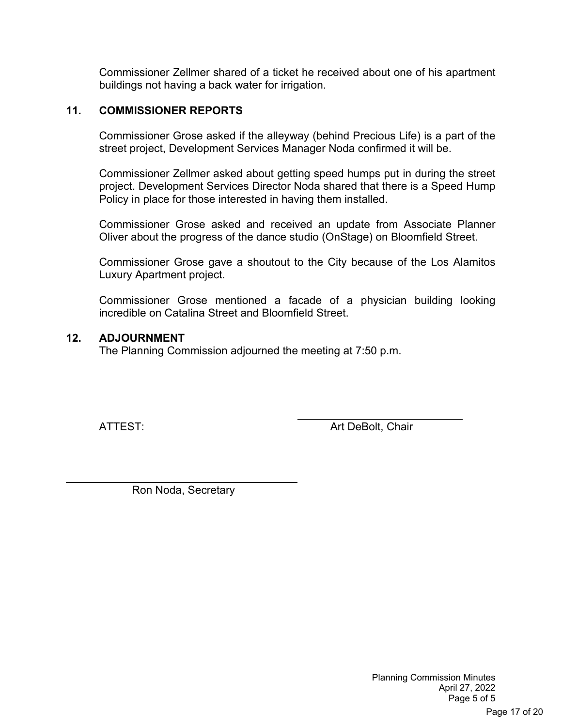Commissioner Zellmer shared of a ticket he received about one of his apartment buildings not having a back water for irrigation.

#### **11. COMMISSIONER REPORTS**

Commissioner Grose asked if the alleyway (behind Precious Life) is a part of the street project, Development Services Manager Noda confirmed it will be.

Commissioner Zellmer asked about getting speed humps put in during the street project. Development Services Director Noda shared that there is a Speed Hump Policy in place for those interested in having them installed.

Commissioner Grose asked and received an update from Associate Planner Oliver about the progress of the dance studio (OnStage) on Bloomfield Street.

Commissioner Grose gave a shoutout to the City because of the Los Alamitos Luxury Apartment project.

Commissioner Grose mentioned a facade of a physician building looking incredible on Catalina Street and Bloomfield Street.

#### **12. ADJOURNMENT**

The Planning Commission adjourned the meeting at 7:50 p.m.

 $\overline{a}$ 

ATTEST: And Art DeBolt, Chair

Ron Noda, Secretary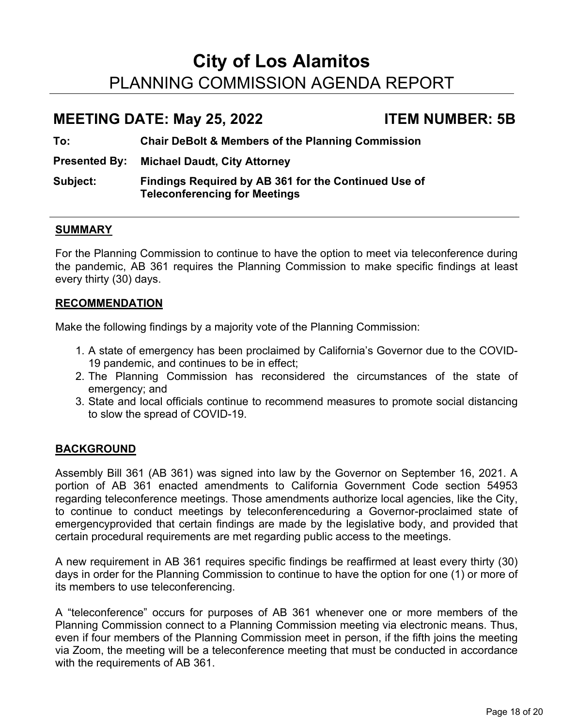# **City of Los Alamitos** PLANNING COMMISSION AGENDA REPORT

# **MEETING DATE: May 25, 2022 ITEM NUMBER: 5B**

**To: Chair DeBolt & Members of the Planning Commission**

**Presented By: Michael Daudt, City Attorney**

**Subject: Findings Required by AB 361 for the Continued Use of Teleconferencing for Meetings**

#### **SUMMARY**

For the Planning Commission to continue to have the option to meet via teleconference during the pandemic, AB 361 requires the Planning Commission to make specific findings at least every thirty (30) days.

#### **RECOMMENDATION**

Make the following findings by a majority vote of the Planning Commission:

- 1. A state of emergency has been proclaimed by California's Governor due to the COVID-19 pandemic, and continues to be in effect;
- 2. The Planning Commission has reconsidered the circumstances of the state of emergency; and
- 3. State and local officials continue to recommend measures to promote social distancing to slow the spread of COVID-19.

#### **BACKGROUND**

Assembly Bill 361 (AB 361) was signed into law by the Governor on September 16, 2021. A portion of AB 361 enacted amendments to California Government Code section 54953 regarding teleconference meetings. Those amendments authorize local agencies, like the City, to continue to conduct meetings by teleconferenceduring a Governor-proclaimed state of emergencyprovided that certain findings are made by the legislative body, and provided that certain procedural requirements are met regarding public access to the meetings.

A new requirement in AB 361 requires specific findings be reaffirmed at least every thirty (30) days in order for the Planning Commission to continue to have the option for one (1) or more of its members to use teleconferencing.

A "teleconference" occurs for purposes of AB 361 whenever one or more members of the Planning Commission connect to a Planning Commission meeting via electronic means. Thus, even if four members of the Planning Commission meet in person, if the fifth joins the meeting via Zoom, the meeting will be a teleconference meeting that must be conducted in accordance with the requirements of AB 361.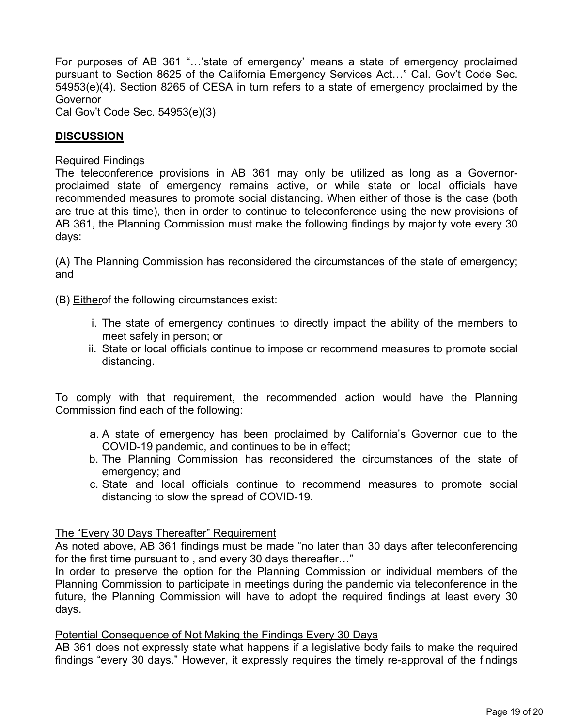For purposes of AB 361 "…'state of emergency' means a state of emergency proclaimed pursuant to Section 8625 of the California Emergency Services Act…" Cal. Gov't Code Sec. 54953(e)(4). Section 8265 of CESA in turn refers to a state of emergency proclaimed by the Governor

Cal Gov't Code Sec. 54953(e)(3)

#### **DISCUSSION**

#### Required Findings

The teleconference provisions in AB 361 may only be utilized as long as a Governorproclaimed state of emergency remains active, or while state or local officials have recommended measures to promote social distancing. When either of those is the case (both are true at this time), then in order to continue to teleconference using the new provisions of AB 361, the Planning Commission must make the following findings by majority vote every 30 days:

(A) The Planning Commission has reconsidered the circumstances of the state of emergency; and

(B) Eitherof the following circumstances exist:

- i. The state of emergency continues to directly impact the ability of the members to meet safely in person; or
- ii. State or local officials continue to impose or recommend measures to promote social distancing.

To comply with that requirement, the recommended action would have the Planning Commission find each of the following:

- a. A state of emergency has been proclaimed by California's Governor due to the COVID-19 pandemic, and continues to be in effect;
- b. The Planning Commission has reconsidered the circumstances of the state of emergency; and
- c. State and local officials continue to recommend measures to promote social distancing to slow the spread of COVID-19.

#### The "Every 30 Days Thereafter" Requirement

As noted above, AB 361 findings must be made "no later than 30 days after teleconferencing for the first time pursuant to , and every 30 days thereafter…"

In order to preserve the option for the Planning Commission or individual members of the Planning Commission to participate in meetings during the pandemic via teleconference in the future, the Planning Commission will have to adopt the required findings at least every 30 days.

#### Potential Consequence of Not Making the Findings Every 30 Days

AB 361 does not expressly state what happens if a legislative body fails to make the required findings "every 30 days." However, it expressly requires the timely re-approval of the findings